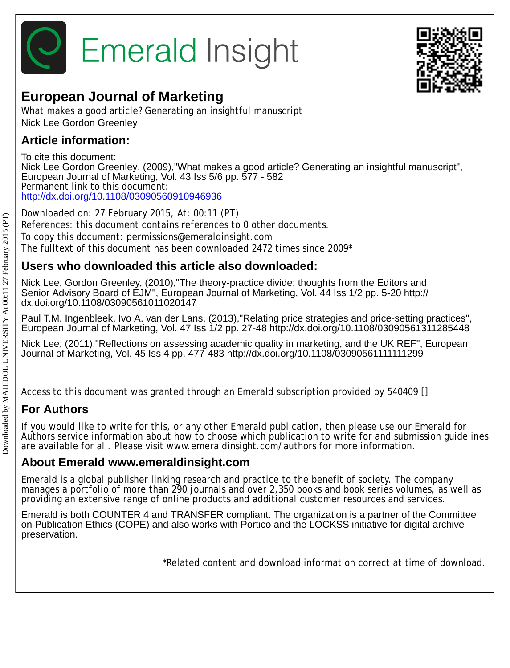



# **European Journal of Marketing**

What makes a good article? Generating an insightful manuscript Nick Lee Gordon Greenley

## **Article information:**

To cite this document: Nick Lee Gordon Greenley, (2009),"What makes a good article? Generating an insightful manuscript", European Journal of Marketing, Vol. 43 Iss 5/6 pp. 577 - 582 Permanent link to this document: <http://dx.doi.org/10.1108/03090560910946936>

Downloaded on: 27 February 2015, At: 00:11 (PT) References: this document contains references to 0 other documents. To copy this document: permissions@emeraldinsight.com The fulltext of this document has been downloaded 2472 times since 2009\*

### **Users who downloaded this article also downloaded:**

Nick Lee, Gordon Greenley, (2010),"The theory-practice divide: thoughts from the Editors and Senior Advisory Board of EJM", European Journal of Marketing, Vol. 44 Iss 1/2 pp. 5-20 http:// dx.doi.org/10.1108/03090561011020147

Paul T.M. Ingenbleek, Ivo A. van der Lans, (2013),"Relating price strategies and price-setting practices", European Journal of Marketing, Vol. 47 Iss 1/2 pp. 27-48 http://dx.doi.org/10.1108/03090561311285448

Nick Lee, (2011),"Reflections on assessing academic quality in marketing, and the UK REF", European Journal of Marketing, Vol. 45 Iss 4 pp. 477-483 http://dx.doi.org/10.1108/03090561111111299

Access to this document was granted through an Emerald subscription provided by 540409 []

## **For Authors**

If you would like to write for this, or any other Emerald publication, then please use our Emerald for Authors service information about how to choose which publication to write for and submission guidelines are available for all. Please visit www.emeraldinsight.com/authors for more information.

#### **About Emerald www.emeraldinsight.com**

Emerald is a global publisher linking research and practice to the benefit of society. The company manages a portfolio of more than 290 journals and over 2,350 books and book series volumes, as well as providing an extensive range of online products and additional customer resources and services.

Emerald is both COUNTER 4 and TRANSFER compliant. The organization is a partner of the Committee on Publication Ethics (COPE) and also works with Portico and the LOCKSS initiative for digital archive preservation.

\*Related content and download information correct at time of download.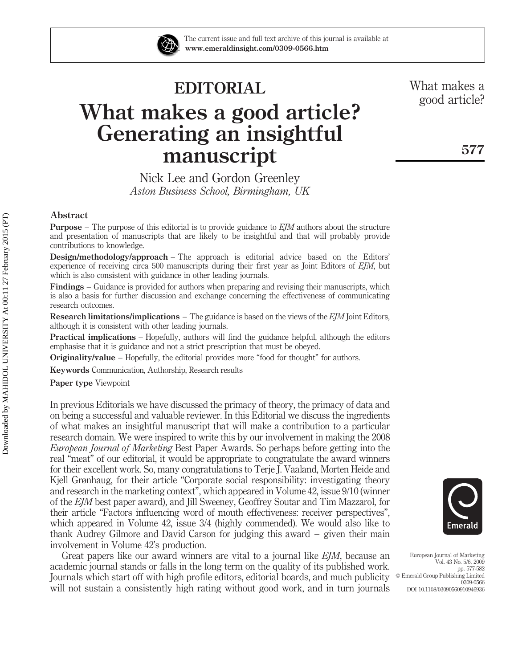The current issue and full text archive of this journal is available at www.emeraldinsight.com/0309-0566.htm

# EDITORIAL What makes a good article? Generating an insightful manuscript

Nick Lee and Gordon Greenley Aston Business School, Birmingham, UK

#### Abstract

**Purpose** – The purpose of this editorial is to provide guidance to  $E/M$  authors about the structure and presentation of manuscripts that are likely to be insightful and that will probably provide contributions to knowledge.

Design/methodology/approach – The approach is editorial advice based on the Editors' experience of receiving circa 500 manuscripts during their first year as Joint Editors of EJM, but which is also consistent with guidance in other leading journals.

Findings – Guidance is provided for authors when preparing and revising their manuscripts, which is also a basis for further discussion and exchange concerning the effectiveness of communicating research outcomes.

**Research limitations/implications –** The guidance is based on the views of the  $EJM$  Joint Editors, although it is consistent with other leading journals.

Practical implications – Hopefully, authors will find the guidance helpful, although the editors emphasise that it is guidance and not a strict prescription that must be obeyed.

Originality/value – Hopefully, the editorial provides more "food for thought" for authors.

Keywords Communication, Authorship, Research results

Paper type Viewpoint

In previous Editorials we have discussed the primacy of theory, the primacy of data and on being a successful and valuable reviewer. In this Editorial we discuss the ingredients of what makes an insightful manuscript that will make a contribution to a particular research domain. We were inspired to write this by our involvement in making the 2008 European Journal of Marketing Best Paper Awards. So perhaps before getting into the real "meat" of our editorial, it would be appropriate to congratulate the award winners for their excellent work. So, many congratulations to Terje J. Vaaland, Morten Heide and Kjell Grønhaug, for their article "Corporate social responsibility: investigating theory and research in the marketing context", which appeared in Volume 42, issue 9/10 (winner of the EJM best paper award), and Jill Sweeney, Geoffrey Soutar and Tim Mazzarol, for their article "Factors influencing word of mouth effectiveness: receiver perspectives", which appeared in Volume 42, issue 3/4 (highly commended). We would also like to thank Audrey Gilmore and David Carson for judging this award – given their main involvement in Volume 42's production.

Great papers like our award winners are vital to a journal like *EJM*, because an academic journal stands or falls in the long term on the quality of its published work. Journals which start off with high profile editors, editorial boards, and much publicity will not sustain a consistently high rating without good work, and in turn journals



Emerald

What makes a good article?

577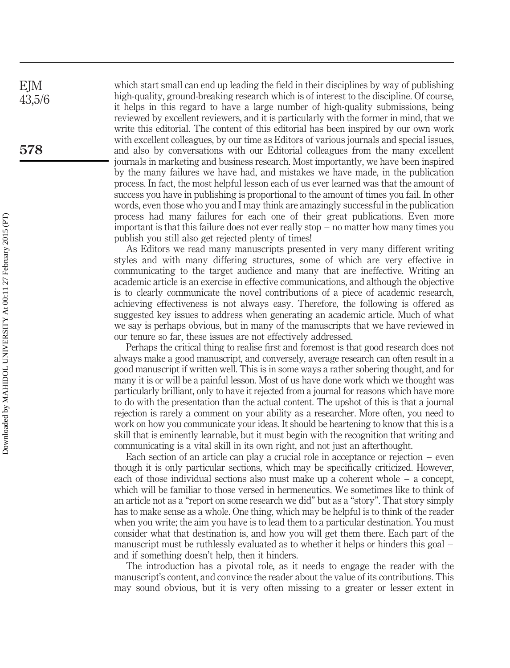which start small can end up leading the field in their disciplines by way of publishing high-quality, ground-breaking research which is of interest to the discipline. Of course, it helps in this regard to have a large number of high-quality submissions, being reviewed by excellent reviewers, and it is particularly with the former in mind, that we write this editorial. The content of this editorial has been inspired by our own work with excellent colleagues, by our time as Editors of various journals and special issues, and also by conversations with our Editorial colleagues from the many excellent journals in marketing and business research. Most importantly, we have been inspired by the many failures we have had, and mistakes we have made, in the publication process. In fact, the most helpful lesson each of us ever learned was that the amount of success you have in publishing is proportional to the amount of times you fail. In other words, even those who you and I may think are amazingly successful in the publication process had many failures for each one of their great publications. Even more important is that this failure does not ever really stop – no matter how many times you publish you still also get rejected plenty of times!

As Editors we read many manuscripts presented in very many different writing styles and with many differing structures, some of which are very effective in communicating to the target audience and many that are ineffective. Writing an academic article is an exercise in effective communications, and although the objective is to clearly communicate the novel contributions of a piece of academic research, achieving effectiveness is not always easy. Therefore, the following is offered as suggested key issues to address when generating an academic article. Much of what we say is perhaps obvious, but in many of the manuscripts that we have reviewed in our tenure so far, these issues are not effectively addressed.

Perhaps the critical thing to realise first and foremost is that good research does not always make a good manuscript, and conversely, average research can often result in a good manuscript if written well. This is in some ways a rather sobering thought, and for many it is or will be a painful lesson. Most of us have done work which we thought was particularly brilliant, only to have it rejected from a journal for reasons which have more to do with the presentation than the actual content. The upshot of this is that a journal rejection is rarely a comment on your ability as a researcher. More often, you need to work on how you communicate your ideas. It should be heartening to know that this is a skill that is eminently learnable, but it must begin with the recognition that writing and communicating is a vital skill in its own right, and not just an afterthought.

Each section of an article can play a crucial role in acceptance or rejection – even though it is only particular sections, which may be specifically criticized. However, each of those individual sections also must make up a coherent whole – a concept, which will be familiar to those versed in hermeneutics. We sometimes like to think of an article not as a "report on some research we did" but as a "story". That story simply has to make sense as a whole. One thing, which may be helpful is to think of the reader when you write; the aim you have is to lead them to a particular destination. You must consider what that destination is, and how you will get them there. Each part of the manuscript must be ruthlessly evaluated as to whether it helps or hinders this goal – and if something doesn't help, then it hinders.

The introduction has a pivotal role, as it needs to engage the reader with the manuscript's content, and convince the reader about the value of its contributions. This may sound obvious, but it is very often missing to a greater or lesser extent in

EJM 43,5/6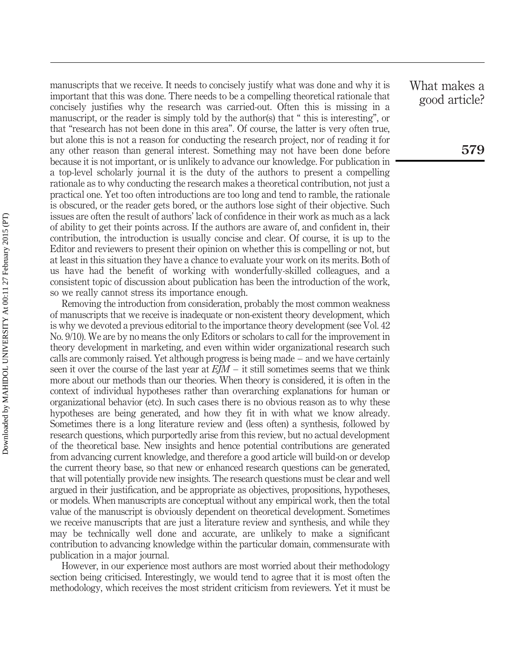manuscripts that we receive. It needs to concisely justify what was done and why it is important that this was done. There needs to be a compelling theoretical rationale that concisely justifies why the research was carried-out. Often this is missing in a manuscript, or the reader is simply told by the author(s) that " this is interesting", or that "research has not been done in this area". Of course, the latter is very often true, but alone this is not a reason for conducting the research project, nor of reading it for any other reason than general interest. Something may not have been done before because it is not important, or is unlikely to advance our knowledge. For publication in a top-level scholarly journal it is the duty of the authors to present a compelling rationale as to why conducting the research makes a theoretical contribution, not just a practical one. Yet too often introductions are too long and tend to ramble, the rationale is obscured, or the reader gets bored, or the authors lose sight of their objective. Such issues are often the result of authors' lack of confidence in their work as much as a lack of ability to get their points across. If the authors are aware of, and confident in, their contribution, the introduction is usually concise and clear. Of course, it is up to the Editor and reviewers to present their opinion on whether this is compelling or not, but at least in this situation they have a chance to evaluate your work on its merits. Both of us have had the benefit of working with wonderfully-skilled colleagues, and a consistent topic of discussion about publication has been the introduction of the work, so we really cannot stress its importance enough.

Removing the introduction from consideration, probably the most common weakness of manuscripts that we receive is inadequate or non-existent theory development, which is why we devoted a previous editorial to the importance theory development (see Vol. 42 No. 9/10). We are by no means the only Editors or scholars to call for the improvement in theory development in marketing, and even within wider organizational research such calls are commonly raised. Yet although progress is being made – and we have certainly seen it over the course of the last year at  $E/M -$  it still sometimes seems that we think more about our methods than our theories. When theory is considered, it is often in the context of individual hypotheses rather than overarching explanations for human or organizational behavior (etc). In such cases there is no obvious reason as to why these hypotheses are being generated, and how they fit in with what we know already. Sometimes there is a long literature review and (less often) a synthesis, followed by research questions, which purportedly arise from this review, but no actual development of the theoretical base. New insights and hence potential contributions are generated from advancing current knowledge, and therefore a good article will build-on or develop the current theory base, so that new or enhanced research questions can be generated, that will potentially provide new insights. The research questions must be clear and well argued in their justification, and be appropriate as objectives, propositions, hypotheses, or models. When manuscripts are conceptual without any empirical work, then the total value of the manuscript is obviously dependent on theoretical development. Sometimes we receive manuscripts that are just a literature review and synthesis, and while they may be technically well done and accurate, are unlikely to make a significant contribution to advancing knowledge within the particular domain, commensurate with publication in a major journal.

However, in our experience most authors are most worried about their methodology section being criticised. Interestingly, we would tend to agree that it is most often the methodology, which receives the most strident criticism from reviewers. Yet it must be What makes a good article?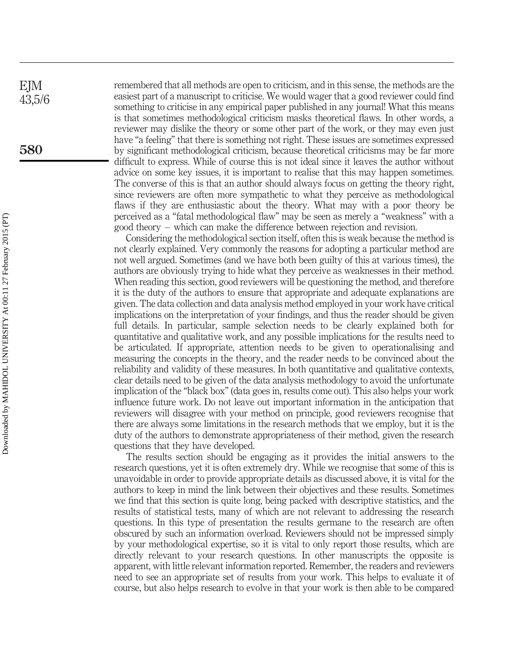remembered that all methods are open to criticism, and in this sense, the methods are the easiest part of a manuscript to criticise. We would wager that a good reviewer could find something to criticise in any empirical paper published in any journal! What this means is that sometimes methodological criticism masks theoretical flaws. In other words, a reviewer may dislike the theory or some other part of the work, or they may even just have "a feeling" that there is something not right. These issues are sometimes expressed by significant methodological criticism, because theoretical criticisms may be far more difficult to express. While of course this is not ideal since it leaves the author without advice on some key issues, it is important to realise that this may happen sometimes. The converse of this is that an author should always focus on getting the theory right, since reviewers are often more sympathetic to what they perceive as methodological flaws if they are enthusiastic about the theory. What may with a poor theory be perceived as a "fatal methodological flaw" may be seen as merely a "weakness" with a good theory – which can make the difference between rejection and revision.

Considering the methodological section itself, often this is weak because the method is not clearly explained. Very commonly the reasons for adopting a particular method are not well argued. Sometimes (and we have both been guilty of this at various times), the authors are obviously trying to hide what they perceive as weaknesses in their method. When reading this section, good reviewers will be questioning the method, and therefore it is the duty of the authors to ensure that appropriate and adequate explanations are given. The data collection and data analysis method employed in your work have critical implications on the interpretation of your findings, and thus the reader should be given full details. In particular, sample selection needs to be clearly explained both for quantitative and qualitative work, and any possible implications for the results need to be articulated. If appropriate, attention needs to be given to operationalising and measuring the concepts in the theory, and the reader needs to be convinced about the reliability and validity of these measures. In both quantitative and qualitative contexts, clear details need to be given of the data analysis methodology to avoid the unfortunate implication of the "black box" (data goes in, results come out). This also helps your work influence future work. Do not leave out important information in the anticipation that reviewers will disagree with your method on principle, good reviewers recognise that there are always some limitations in the research methods that we employ, but it is the duty of the authors to demonstrate appropriateness of their method, given the research questions that they have developed.

The results section should be engaging as it provides the initial answers to the research questions, yet it is often extremely dry. While we recognise that some of this is unavoidable in order to provide appropriate details as discussed above, it is vital for the authors to keep in mind the link between their objectives and these results. Sometimes we find that this section is quite long, being packed with descriptive statistics, and the results of statistical tests, many of which are not relevant to addressing the research questions. In this type of presentation the results germane to the research are often obscured by such an information overload. Reviewers should not be impressed simply by your methodological expertise, so it is vital to only report those results, which are directly relevant to your research questions. In other manuscripts the opposite is apparent, with little relevant information reported. Remember, the readers and reviewers need to see an appropriate set of results from your work. This helps to evaluate it of course, but also helps research to evolve in that your work is then able to be compared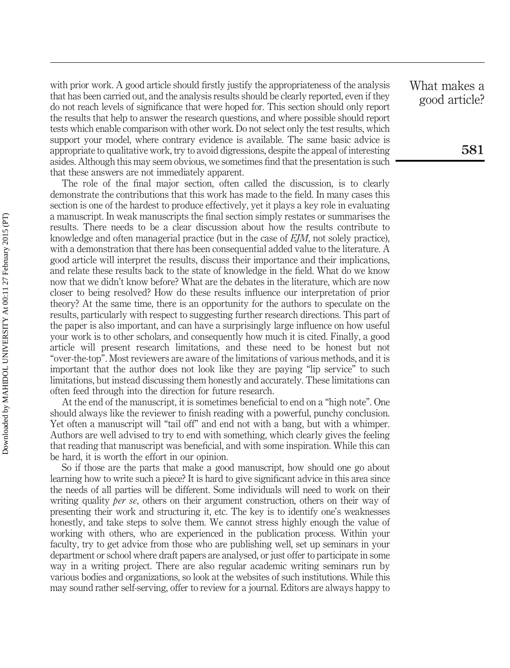with prior work. A good article should firstly justify the appropriateness of the analysis that has been carried out, and the analysis results should be clearly reported, even if they do not reach levels of significance that were hoped for. This section should only report the results that help to answer the research questions, and where possible should report tests which enable comparison with other work. Do not select only the test results, which support your model, where contrary evidence is available. The same basic advice is appropriate to qualitative work, try to avoid digressions, despite the appeal of interesting asides. Although this may seem obvious, we sometimes find that the presentation is such that these answers are not immediately apparent.

The role of the final major section, often called the discussion, is to clearly demonstrate the contributions that this work has made to the field. In many cases this section is one of the hardest to produce effectively, yet it plays a key role in evaluating a manuscript. In weak manuscripts the final section simply restates or summarises the results. There needs to be a clear discussion about how the results contribute to knowledge and often managerial practice (but in the case of EJM, not solely practice), with a demonstration that there has been consequential added value to the literature. A good article will interpret the results, discuss their importance and their implications, and relate these results back to the state of knowledge in the field. What do we know now that we didn't know before? What are the debates in the literature, which are now closer to being resolved? How do these results influence our interpretation of prior theory? At the same time, there is an opportunity for the authors to speculate on the results, particularly with respect to suggesting further research directions. This part of the paper is also important, and can have a surprisingly large influence on how useful your work is to other scholars, and consequently how much it is cited. Finally, a good article will present research limitations, and these need to be honest but not "over-the-top". Most reviewers are aware of the limitations of various methods, and it is important that the author does not look like they are paying "lip service" to such limitations, but instead discussing them honestly and accurately. These limitations can often feed through into the direction for future research.

At the end of the manuscript, it is sometimes beneficial to end on a "high note". One should always like the reviewer to finish reading with a powerful, punchy conclusion. Yet often a manuscript will "tail off" and end not with a bang, but with a whimper. Authors are well advised to try to end with something, which clearly gives the feeling that reading that manuscript was beneficial, and with some inspiration. While this can be hard, it is worth the effort in our opinion.

So if those are the parts that make a good manuscript, how should one go about learning how to write such a piece? It is hard to give significant advice in this area since the needs of all parties will be different. Some individuals will need to work on their writing quality *per se*, others on their argument construction, others on their way of presenting their work and structuring it, etc. The key is to identify one's weaknesses honestly, and take steps to solve them. We cannot stress highly enough the value of working with others, who are experienced in the publication process. Within your faculty, try to get advice from those who are publishing well, set up seminars in your department or school where draft papers are analysed, or just offer to participate in some way in a writing project. There are also regular academic writing seminars run by various bodies and organizations, so look at the websites of such institutions. While this may sound rather self-serving, offer to review for a journal. Editors are always happy to What makes a good article?